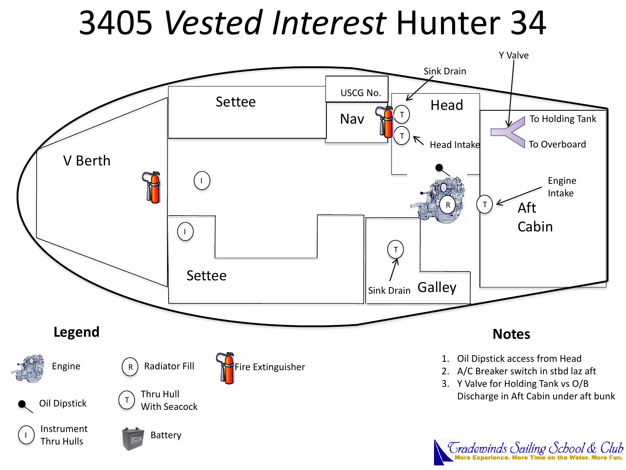## 3405 *Vested Interest* Hunter 34

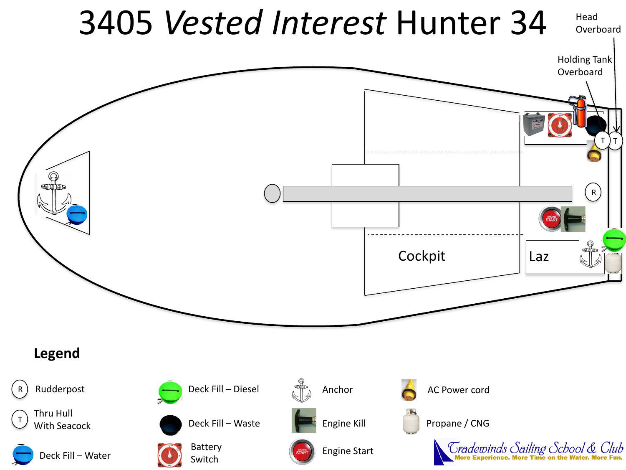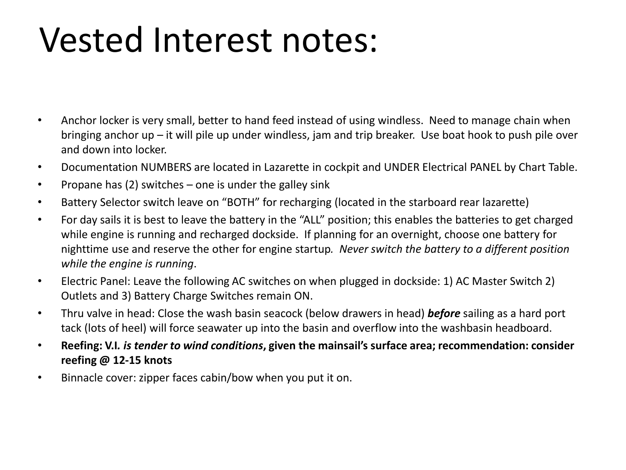# Vested Interest notes:

- Anchor locker is very small, better to hand feed instead of using windless. Need to manage chain when bringing anchor up – it will pile up under windless, jam and trip breaker. Use boat hook to push pile over and down into locker.
- Documentation NUMBERS are located in Lazarette in cockpit and UNDER Electrical PANEL by Chart Table.
- Propane has  $(2)$  switches one is under the galley sink
- Battery Selector switch leave on "BOTH" for recharging (located in the starboard rear lazarette)
- For day sails it is best to leave the battery in the "ALL" position; this enables the batteries to get charged while engine is running and recharged dockside. If planning for an overnight, choose one battery for nighttime use and reserve the other for engine startup*. Never switch the battery to a different position while the engine is running*.
- Electric Panel: Leave the following AC switches on when plugged in dockside: 1) AC Master Switch 2) Outlets and 3) Battery Charge Switches remain ON.
- Thru valve in head: Close the wash basin seacock (below drawers in head) *before* sailing as a hard port tack (lots of heel) will force seawater up into the basin and overflow into the washbasin headboard.
- **Reefing: V.I***. is tender to wind conditions***, given the mainsail's surface area; recommendation: consider reefing @ 12-15 knots**
- Binnacle cover: zipper faces cabin/bow when you put it on.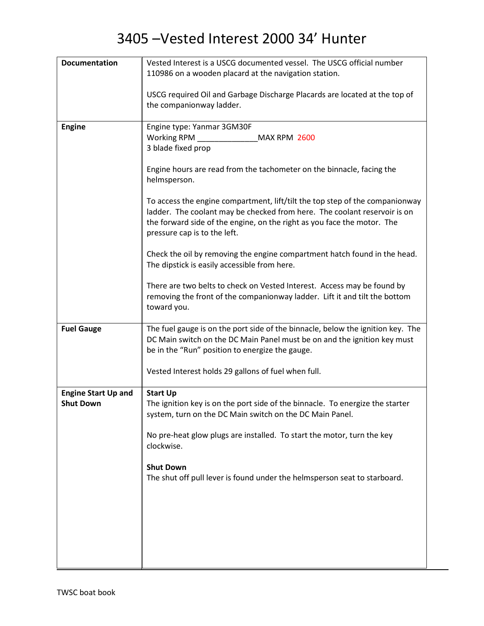| <b>Documentation</b>       | Vested Interest is a USCG documented vessel. The USCG official number                                                                                                                                                                                                |
|----------------------------|----------------------------------------------------------------------------------------------------------------------------------------------------------------------------------------------------------------------------------------------------------------------|
|                            | 110986 on a wooden placard at the navigation station.                                                                                                                                                                                                                |
|                            | USCG required Oil and Garbage Discharge Placards are located at the top of                                                                                                                                                                                           |
|                            | the companionway ladder.                                                                                                                                                                                                                                             |
| <b>Engine</b>              | Engine type: Yanmar 3GM30F                                                                                                                                                                                                                                           |
|                            | Working RPM<br><b>MAX RPM 2600</b>                                                                                                                                                                                                                                   |
|                            | 3 blade fixed prop                                                                                                                                                                                                                                                   |
|                            | Engine hours are read from the tachometer on the binnacle, facing the<br>helmsperson.                                                                                                                                                                                |
|                            | To access the engine compartment, lift/tilt the top step of the companionway<br>ladder. The coolant may be checked from here. The coolant reservoir is on<br>the forward side of the engine, on the right as you face the motor. The<br>pressure cap is to the left. |
|                            | Check the oil by removing the engine compartment hatch found in the head.<br>The dipstick is easily accessible from here.                                                                                                                                            |
|                            | There are two belts to check on Vested Interest. Access may be found by<br>removing the front of the companionway ladder. Lift it and tilt the bottom<br>toward you.                                                                                                 |
| <b>Fuel Gauge</b>          | The fuel gauge is on the port side of the binnacle, below the ignition key. The<br>DC Main switch on the DC Main Panel must be on and the ignition key must<br>be in the "Run" position to energize the gauge.                                                       |
|                            | Vested Interest holds 29 gallons of fuel when full.                                                                                                                                                                                                                  |
| <b>Engine Start Up and</b> | <b>Start Up</b>                                                                                                                                                                                                                                                      |
| <b>Shut Down</b>           | The ignition key is on the port side of the binnacle. To energize the starter<br>system, turn on the DC Main switch on the DC Main Panel.                                                                                                                            |
|                            | No pre-heat glow plugs are installed. To start the motor, turn the key<br>clockwise.                                                                                                                                                                                 |
|                            | <b>Shut Down</b><br>The shut off pull lever is found under the helmsperson seat to starboard.                                                                                                                                                                        |
|                            |                                                                                                                                                                                                                                                                      |
|                            |                                                                                                                                                                                                                                                                      |
|                            |                                                                                                                                                                                                                                                                      |
|                            |                                                                                                                                                                                                                                                                      |
|                            |                                                                                                                                                                                                                                                                      |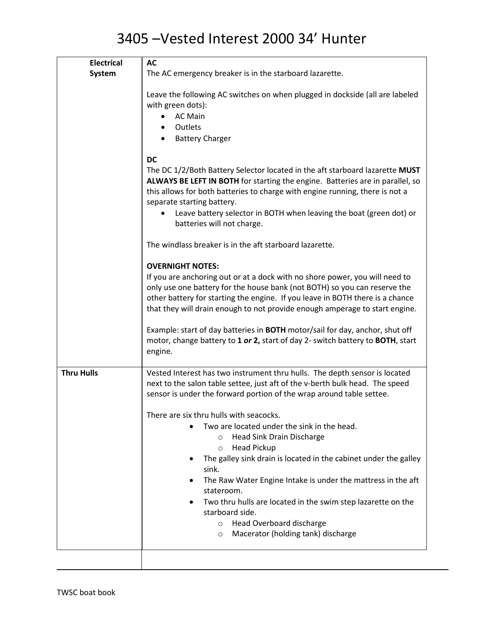| <b>Electrical</b> | <b>AC</b>                                                                                                                                                                                                                                                                                                                                                                                                                                                                                                             |
|-------------------|-----------------------------------------------------------------------------------------------------------------------------------------------------------------------------------------------------------------------------------------------------------------------------------------------------------------------------------------------------------------------------------------------------------------------------------------------------------------------------------------------------------------------|
| System            | The AC emergency breaker is in the starboard lazarette.                                                                                                                                                                                                                                                                                                                                                                                                                                                               |
|                   | Leave the following AC switches on when plugged in dockside (all are labeled<br>with green dots):<br><b>AC Main</b><br>$\bullet$<br>Outlets<br><b>Battery Charger</b>                                                                                                                                                                                                                                                                                                                                                 |
|                   | <b>DC</b>                                                                                                                                                                                                                                                                                                                                                                                                                                                                                                             |
|                   | The DC 1/2/Both Battery Selector located in the aft starboard lazarette MUST<br>ALWAYS BE LEFT IN BOTH for starting the engine. Batteries are in parallel, so<br>this allows for both batteries to charge with engine running, there is not a<br>separate starting battery.<br>Leave battery selector in BOTH when leaving the boat (green dot) or<br>batteries will not charge.                                                                                                                                      |
|                   |                                                                                                                                                                                                                                                                                                                                                                                                                                                                                                                       |
|                   | The windlass breaker is in the aft starboard lazarette.                                                                                                                                                                                                                                                                                                                                                                                                                                                               |
|                   | <b>OVERNIGHT NOTES:</b><br>If you are anchoring out or at a dock with no shore power, you will need to<br>only use one battery for the house bank (not BOTH) so you can reserve the<br>other battery for starting the engine. If you leave in BOTH there is a chance<br>that they will drain enough to not provide enough amperage to start engine.<br>Example: start of day batteries in BOTH motor/sail for day, anchor, shut off<br>motor, change battery to 1 or 2, start of day 2- switch battery to BOTH, start |
|                   | engine.                                                                                                                                                                                                                                                                                                                                                                                                                                                                                                               |
| <b>Thru Hulls</b> | Vested Interest has two instrument thru hulls. The depth sensor is located<br>next to the salon table settee, just aft of the v-berth bulk head. The speed<br>sensor is under the forward portion of the wrap around table settee.                                                                                                                                                                                                                                                                                    |
|                   | There are six thru hulls with seacocks.                                                                                                                                                                                                                                                                                                                                                                                                                                                                               |
|                   | Two are located under the sink in the head.<br>Head Sink Drain Discharge<br>O<br><b>Head Pickup</b><br>$\circ$                                                                                                                                                                                                                                                                                                                                                                                                        |
|                   | The galley sink drain is located in the cabinet under the galley<br>sink.                                                                                                                                                                                                                                                                                                                                                                                                                                             |
|                   | The Raw Water Engine Intake is under the mattress in the aft<br>stateroom.                                                                                                                                                                                                                                                                                                                                                                                                                                            |
|                   | Two thru hulls are located in the swim step lazarette on the<br>starboard side.                                                                                                                                                                                                                                                                                                                                                                                                                                       |
|                   | Head Overboard discharge<br>$\circ$                                                                                                                                                                                                                                                                                                                                                                                                                                                                                   |
|                   | Macerator (holding tank) discharge<br>$\circ$                                                                                                                                                                                                                                                                                                                                                                                                                                                                         |
|                   |                                                                                                                                                                                                                                                                                                                                                                                                                                                                                                                       |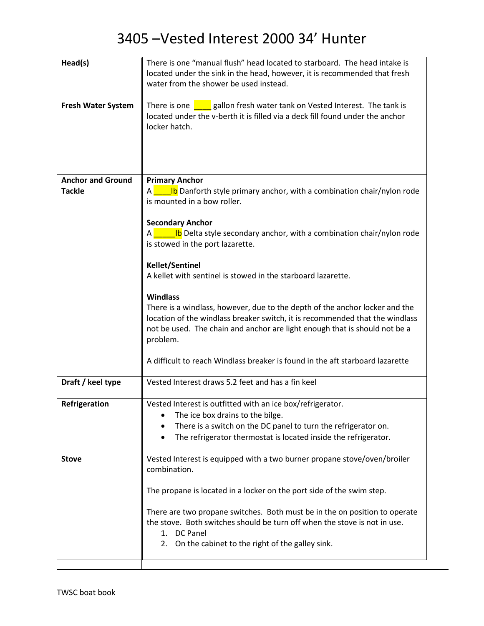| Head(s)                   | There is one "manual flush" head located to starboard. The head intake is                 |
|---------------------------|-------------------------------------------------------------------------------------------|
|                           | located under the sink in the head, however, it is recommended that fresh                 |
|                           | water from the shower be used instead.                                                    |
|                           |                                                                                           |
| <b>Fresh Water System</b> | gallon fresh water tank on Vested Interest. The tank is<br>There is one                   |
|                           | located under the v-berth it is filled via a deck fill found under the anchor             |
|                           | locker hatch.                                                                             |
|                           |                                                                                           |
|                           |                                                                                           |
|                           |                                                                                           |
|                           |                                                                                           |
| <b>Anchor and Ground</b>  | <b>Primary Anchor</b>                                                                     |
| <b>Tackle</b>             | <b>b</b> Danforth style primary anchor, with a combination chair/nylon rode               |
|                           | is mounted in a bow roller.                                                               |
|                           |                                                                                           |
|                           | <b>Secondary Anchor</b>                                                                   |
|                           | <u><b>Letter 15</b></u> Delta style secondary anchor, with a combination chair/nylon rode |
|                           | is stowed in the port lazarette.                                                          |
|                           |                                                                                           |
|                           | <b>Kellet/Sentinel</b>                                                                    |
|                           | A kellet with sentinel is stowed in the starboard lazarette.                              |
|                           |                                                                                           |
|                           | <b>Windlass</b>                                                                           |
|                           | There is a windlass, however, due to the depth of the anchor locker and the               |
|                           | location of the windlass breaker switch, it is recommended that the windlass              |
|                           | not be used. The chain and anchor are light enough that is should not be a                |
|                           | problem.                                                                                  |
|                           |                                                                                           |
|                           | A difficult to reach Windlass breaker is found in the aft starboard lazarette             |
|                           |                                                                                           |
| Draft / keel type         | Vested Interest draws 5.2 feet and has a fin keel                                         |
|                           |                                                                                           |
| Refrigeration             | Vested Interest is outfitted with an ice box/refrigerator.                                |
|                           | The ice box drains to the bilge.                                                          |
|                           | There is a switch on the DC panel to turn the refrigerator on.                            |
|                           | The refrigerator thermostat is located inside the refrigerator.                           |
|                           |                                                                                           |
| <b>Stove</b>              | Vested Interest is equipped with a two burner propane stove/oven/broiler                  |
|                           | combination.                                                                              |
|                           |                                                                                           |
|                           | The propane is located in a locker on the port side of the swim step.                     |
|                           |                                                                                           |
|                           | There are two propane switches. Both must be in the on position to operate                |
|                           | the stove. Both switches should be turn off when the stove is not in use.                 |
|                           | 1. DC Panel                                                                               |
|                           | 2. On the cabinet to the right of the galley sink.                                        |
|                           |                                                                                           |